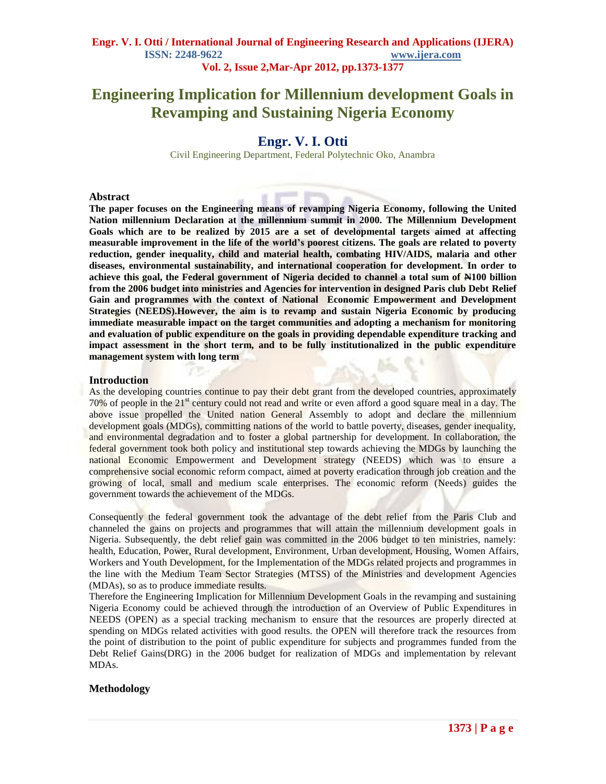# **Engineering Implication for Millennium development Goals in Revamping and Sustaining Nigeria Economy**

# **Engr. V. I. Otti**

Civil Engineering Department, Federal Polytechnic Oko, Anambra

#### **Abstract**

**The paper focuses on the Engineering means of revamping Nigeria Economy, following the United Nation millennium Declaration at the millennium summit in 2000. The Millennium Development Goals which are to be realized by 2015 are a set of developmental targets aimed at affecting measurable improvement in the life of the world's poorest citizens. The goals are related to poverty reduction, gender inequality, child and material health, combating HIV/AIDS, malaria and other diseases, environmental sustainability, and international cooperation for development. In order to achieve this goal, the Federal government of Nigeria decided to channel a total sum of N100 billion from the 2006 budget into ministries and Agencies for intervention in designed Paris club Debt Relief Gain and programmes with the context of National Economic Empowerment and Development Strategies (NEEDS).However, the aim is to revamp and sustain Nigeria Economic by producing immediate measurable impact on the target communities and adopting a mechanism for monitoring and evaluation of public expenditure on the goals in providing dependable expenditure tracking and impact assessment in the short term, and to be fully institutionalized in the public expenditure management system with long term** 

#### **Introduction**

As the developing countries continue to pay their debt grant from the developed countries, approximately 70% of people in the  $21^{st}$  century could not read and write or even afford a good square meal in a day. The above issue propelled the United nation General Assembly to adopt and declare the millennium development goals (MDGs), committing nations of the world to battle poverty, diseases, gender inequality, and environmental degradation and to foster a global partnership for development. In collaboration, the federal government took both policy and institutional step towards achieving the MDGs by launching the national Economic Empowerment and Development strategy (NEEDS) which was to ensure a comprehensive social economic reform compact, aimed at poverty eradication through job creation and the growing of local, small and medium scale enterprises. The economic reform (Needs) guides the government towards the achievement of the MDGs.

Consequently the federal government took the advantage of the debt relief from the Paris Club and channeled the gains on projects and programmes that will attain the millennium development goals in Nigeria. Subsequently, the debt relief gain was committed in the 2006 budget to ten ministries, namely: health, Education, Power, Rural development, Environment, Urban development, Housing, Women Affairs, Workers and Youth Development, for the Implementation of the MDGs related projects and programmes in the line with the Medium Team Sector Strategies (MTSS) of the Ministries and development Agencies (MDAs), so as to produce immediate results.

Therefore the Engineering Implication for Millennium Development Goals in the revamping and sustaining Nigeria Economy could be achieved through the introduction of an Overview of Public Expenditures in NEEDS (OPEN) as a special tracking mechanism to ensure that the resources are properly directed at spending on MDGs related activities with good results. the OPEN will therefore track the resources from the point of distribution to the point of public expenditure for subjects and programmes funded from the Debt Relief Gains(DRG) in the 2006 budget for realization of MDGs and implementation by relevant MDAs.

#### **Methodology**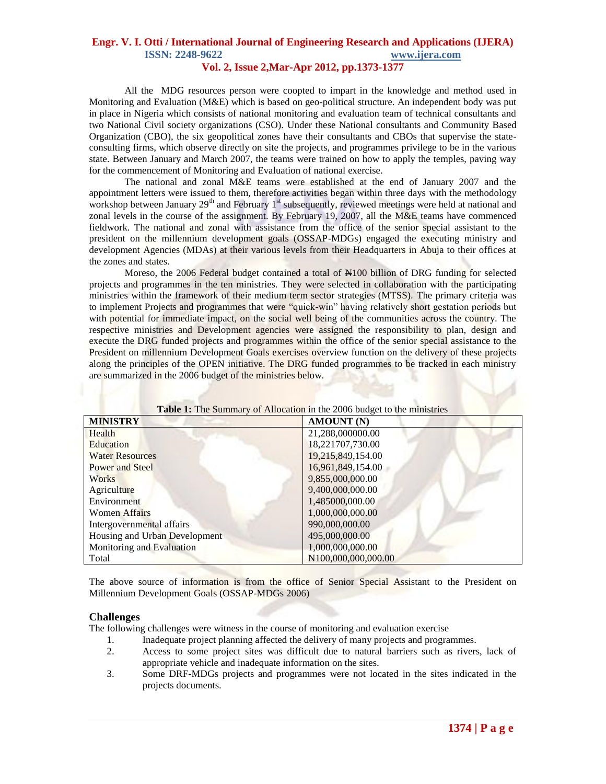# **Engr. V. I. Otti / International Journal of Engineering Research and Applications (IJERA) ISSN: 2248-9622 www.ijera.com**

**Vol. 2, Issue 2,Mar-Apr 2012, pp.1373-1377**

All the MDG resources person were coopted to impart in the knowledge and method used in Monitoring and Evaluation (M&E) which is based on geo-political structure. An independent body was put in place in Nigeria which consists of national monitoring and evaluation team of technical consultants and two National Civil society organizations (CSO). Under these National consultants and Community Based Organization (CBO), the six geopolitical zones have their consultants and CBOs that supervise the stateconsulting firms, which observe directly on site the projects, and programmes privilege to be in the various state. Between January and March 2007, the teams were trained on how to apply the temples, paving way for the commencement of Monitoring and Evaluation of national exercise.

The national and zonal M&E teams were established at the end of January 2007 and the appointment letters were issued to them, therefore activities began within three days with the methodology workshop between January  $29<sup>th</sup>$  and February 1<sup>st</sup> subsequently, reviewed meetings were held at national and zonal levels in the course of the assignment. By February 19, 2007, all the M&E teams have commenced fieldwork. The national and zonal with assistance from the office of the senior special assistant to the president on the millennium development goals (OSSAP-MDGs) engaged the executing ministry and development Agencies (MDAs) at their various levels from their Headquarters in Abuja to their offices at the zones and states.

Moreso, the 2006 Federal budget contained a total of N100 billion of DRG funding for selected projects and programmes in the ten ministries. They were selected in collaboration with the participating ministries within the framework of their medium term sector strategies (MTSS). The primary criteria was to implement Projects and programmes that were "quick-win" having relatively short gestation periods but with potential for immediate impact, on the social well being of the communities across the country. The respective ministries and Development agencies were assigned the responsibility to plan, design and execute the DRG funded projects and programmes within the office of the senior special assistance to the President on millennium Development Goals exercises overview function on the delivery of these projects along the principles of the OPEN initiative. The DRG funded programmes to be tracked in each ministry are summarized in the 2006 budget of the ministries below.

| <b>MINISTRY</b>               | <b>AMOUNT</b> (N)   |
|-------------------------------|---------------------|
| Health                        | 21,288,000000.00    |
| Education                     | 18,221707,730.00    |
| <b>Water Resources</b>        | 19,215,849,154.00   |
| Power and Steel               | 16,961,849,154.00   |
| <b>Works</b>                  | 9,855,000,000.00    |
| Agriculture                   | 9,400,000,000.00    |
| Environment                   | 1,485000,000.00     |
| <b>Women Affairs</b>          | 1,000,000,000.00    |
| Intergovernmental affairs     | 990,000,000.00      |
| Housing and Urban Development | 495,000,000.00      |
| Monitoring and Evaluation     | 1,000,000,000.00    |
| Total                         | N100,000,000,000.00 |

### **Table 1:** The Summary of Allocation in the 2006 budget to the ministries

The above source of information is from the office of Senior Special Assistant to the President on Millennium Development Goals (OSSAP-MDGs 2006)

#### **Challenges**

The following challenges were witness in the course of monitoring and evaluation exercise

- 1. Inadequate project planning affected the delivery of many projects and programmes.
- 2. Access to some project sites was difficult due to natural barriers such as rivers, lack of appropriate vehicle and inadequate information on the sites.
- 3. Some DRF-MDGs projects and programmes were not located in the sites indicated in the projects documents.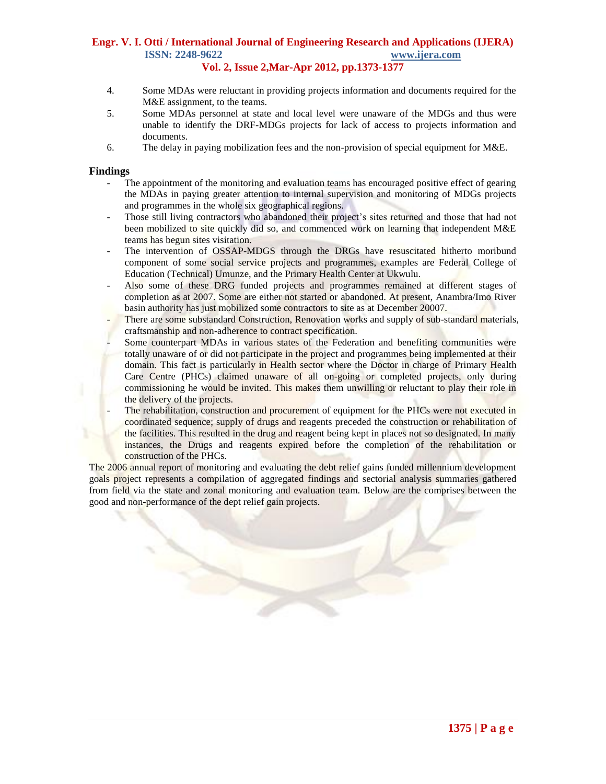#### **Engr. V. I. Otti / International Journal of Engineering Research and Applications (IJERA) ISSN: 2248-9622 www.ijera.com Vol. 2, Issue 2,Mar-Apr 2012, pp.1373-1377**

- 4. Some MDAs were reluctant in providing projects information and documents required for the M&E assignment, to the teams.
- 5. Some MDAs personnel at state and local level were unaware of the MDGs and thus were unable to identify the DRF-MDGs projects for lack of access to projects information and documents.
- 6. The delay in paying mobilization fees and the non-provision of special equipment for M&E.

#### **Findings**

- The appointment of the monitoring and evaluation teams has encouraged positive effect of gearing the MDAs in paying greater attention to internal supervision and monitoring of MDGs projects and programmes in the whole six geographical regions.
- Those still living contractors who abandoned their project's sites returned and those that had not been mobilized to site quickly did so, and commenced work on learning that independent M&E teams has begun sites visitation.
- The intervention of OSSAP-MDGS through the DRGs have resuscitated hitherto moribund component of some social service projects and programmes, examples are Federal College of Education (Technical) Umunze, and the Primary Health Center at Ukwulu.
- Also some of these DRG funded projects and programmes remained at different stages of completion as at 2007. Some are either not started or abandoned. At present, Anambra/Imo River basin authority has just mobilized some contractors to site as at December 20007.
- There are some substandard Construction, Renovation works and supply of sub-standard materials, craftsmanship and non-adherence to contract specification.
- Some counterpart MDAs in various states of the Federation and benefiting communities were totally unaware of or did not participate in the project and programmes being implemented at their domain. This fact is particularly in Health sector where the Doctor in charge of Primary Health Care Centre (PHCs) claimed unaware of all on-going or completed projects, only during commissioning he would be invited. This makes them unwilling or reluctant to play their role in the delivery of the projects.
- The rehabilitation, construction and procurement of equipment for the PHCs were not executed in coordinated sequence; supply of drugs and reagents preceded the construction or rehabilitation of the facilities. This resulted in the drug and reagent being kept in places not so designated. In many instances, the Drugs and reagents expired before the completion of the rehabilitation or construction of the PHCs.

The 2006 annual report of monitoring and evaluating the debt relief gains funded millennium development goals project represents a compilation of aggregated findings and sectorial analysis summaries gathered from field via the state and zonal monitoring and evaluation team. Below are the comprises between the good and non-performance of the dept relief gain projects.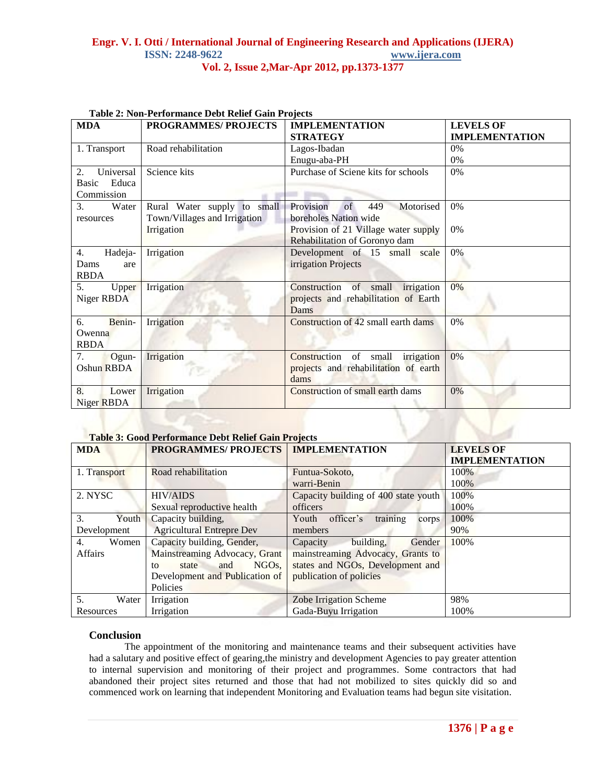#### **Engr. V. I. Otti / International Journal of Engineering Research and Applications (IJERA)**<br> **ENGINEY:** 2248-9622<br> **ENGINEY:** 2248-9622 **ISSN: 2248-9622 Vol. 2, Issue 2,Mar-Apr 2012, pp.1373-1377**

| Table 2: Non-Performance Debt Renet Gain Projects |                                                                           |                                                                                                                                       |                                           |
|---------------------------------------------------|---------------------------------------------------------------------------|---------------------------------------------------------------------------------------------------------------------------------------|-------------------------------------------|
| <b>MDA</b>                                        | <b>PROGRAMMES/ PROJECTS</b>                                               | <b>IMPLEMENTATION</b><br><b>STRATEGY</b>                                                                                              | <b>LEVELS OF</b><br><b>IMPLEMENTATION</b> |
| 1. Transport                                      | Road rehabilitation                                                       | Lagos-Ibadan<br>Enugu-aba-PH                                                                                                          | $0\%$<br>$0\%$                            |
| Universal<br>2.<br>Educa<br>Basic<br>Commission   | Science kits                                                              | Purchase of Sciene kits for schools                                                                                                   | 0%                                        |
| 3.<br>Water<br>resources                          | Rural Water supply to small<br>Town/Villages and Irrigation<br>Irrigation | of<br>449<br>Motorised<br>Provision<br>boreholes Nation wide<br>Provision of 21 Village water supply<br>Rehabilitation of Goronyo dam | 0%<br>0%                                  |
| Hadeja-<br>4.<br>Dams<br>are<br><b>RBDA</b>       | Irrigation                                                                | Development of 15 small scale<br>irrigation Projects                                                                                  | $0\%$                                     |
| 5.<br>Upper<br>Niger RBDA                         | Irrigation                                                                | Construction of small irrigation<br>projects and rehabilitation of Earth<br>Dams                                                      | $0\%$                                     |
| Benin-<br>6.<br>Owenna<br><b>RBDA</b>             | Irrigation                                                                | Construction of 42 small earth dams                                                                                                   | 0%                                        |
| 7.<br>Ogun-<br>Oshun RBDA                         | Irrigation                                                                | Construction of small<br>irrigation<br>projects and rehabilitation of earth<br>dams                                                   | 0%                                        |
| 8.<br>Lower<br>Niger RBDA                         | Irrigation                                                                | Construction of small earth dams                                                                                                      | 0%                                        |

### **Table 3: Good Performance Debt Relief Gain Projects**

| <b>MDA</b>              | <b>PROGRAMMES/ PROJECTS</b>              | <b>IMPLEMENTATION</b>                   | <b>LEVELS OF</b>      |
|-------------------------|------------------------------------------|-----------------------------------------|-----------------------|
|                         |                                          |                                         | <b>IMPLEMENTATION</b> |
| 1. Transport            | Road rehabilitation                      | Funtua-Sokoto,                          | 100%                  |
|                         |                                          | warri-Benin                             | 100%                  |
| 2. NYSC                 | <b>HIV/AIDS</b>                          | Capacity building of 400 state youth    | 100%                  |
|                         | Sexual reproductive health               | officers                                | 100%                  |
| 3.<br>Youth             | Capacity building,                       | training<br>officer's<br>Youth<br>corps | 100%                  |
| Development             | <b>Agricultural Entrepre Dev</b>         | members                                 | 90%                   |
| Women<br>4.             | Capacity building, Gender,               | building,<br>Capacity<br>Gender         | 100%                  |
| Affairs                 | Mainstreaming Advocacy, Grant            | mainstreaming Advocacy, Grants to       |                       |
|                         | and<br>NGO <sub>s</sub> .<br>state<br>to | states and NGOs, Development and        |                       |
|                         | Development and Publication of           | publication of policies                 |                       |
|                         | Policies                                 |                                         |                       |
| 5 <sub>1</sub><br>Water | Irrigation                               | Zobe Irrigation Scheme                  | 98%                   |
| Resources               | Irrigation                               | Gada-Buyu Irrigation                    | 100%                  |

#### **Conclusion**

The appointment of the monitoring and maintenance teams and their subsequent activities have had a salutary and positive effect of gearing, the ministry and development Agencies to pay greater attention to internal supervision and monitoring of their project and programmes. Some contractors that had abandoned their project sites returned and those that had not mobilized to sites quickly did so and commenced work on learning that independent Monitoring and Evaluation teams had begun site visitation.